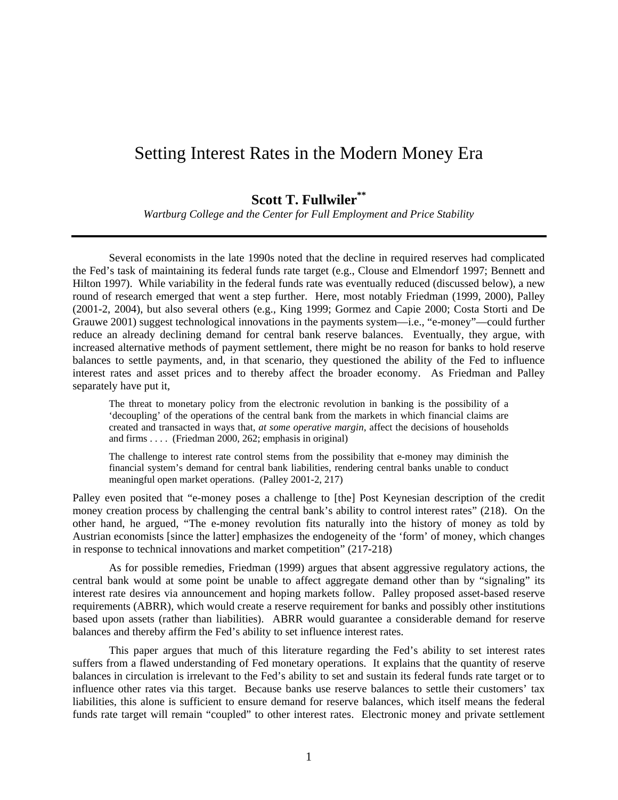# Setting Interest Rates in the Modern Money Era

## **Scott T. Fullwiler\***

*Wartburg College and the Center for Full Employment and Price Stability* 

Several economists in the late 1990s noted that the decline in required reserves had complicated the Fed's task of maintaining its federal funds rate target (e.g., Clouse and Elmendorf 1997; Bennett and Hilton 1997). While variability in the federal funds rate was eventually reduced (discussed below), a new round of research emerged that went a step further. Here, most notably Friedman (1999, 2000), Palley (2001-2, 2004), but also several others (e.g., King 1999; Gormez and Capie 2000; Costa Storti and De Grauwe 2001) suggest technological innovations in the payments system—i.e., "e-money"—could further reduce an already declining demand for central bank reserve balances. Eventually, they argue, with increased alternative methods of payment settlement, there might be no reason for banks to hold reserve balances to settle payments, and, in that scenario, they questioned the ability of the Fed to influence interest rates and asset prices and to thereby affect the broader economy. As Friedman and Palley separately have put it,

The threat to monetary policy from the electronic revolution in banking is the possibility of a 'decoupling' of the operations of the central bank from the markets in which financial claims are created and transacted in ways that, *at some operative margin*, affect the decisions of households and firms . . . . (Friedman 2000, 262; emphasis in original)

The challenge to interest rate control stems from the possibility that e-money may diminish the financial system's demand for central bank liabilities, rendering central banks unable to conduct meaningful open market operations. (Palley 2001-2, 217)

Palley even posited that "e-money poses a challenge to [the] Post Keynesian description of the credit money creation process by challenging the central bank's ability to control interest rates" (218). On the other hand, he argued, "The e-money revolution fits naturally into the history of money as told by Austrian economists [since the latter] emphasizes the endogeneity of the 'form' of money, which changes in response to technical innovations and market competition" (217-218)

As for possible remedies, Friedman (1999) argues that absent aggressive regulatory actions, the central bank would at some point be unable to affect aggregate demand other than by "signaling" its interest rate desires via announcement and hoping markets follow. Palley proposed asset-based reserve requirements (ABRR), which would create a reserve requirement for banks and possibly other institutions based upon assets (rather than liabilities). ABRR would guarantee a considerable demand for reserve balances and thereby affirm the Fed's ability to set influence interest rates.

This paper argues that much of this literature regarding the Fed's ability to set interest rates suffers from a flawed understanding of Fed monetary operations. It explains that the quantity of reserve balances in circulation is irrelevant to the Fed's ability to set and sustain its federal funds rate target or to influence other rates via this target. Because banks use reserve balances to settle their customers' tax liabilities, this alone is sufficient to ensure demand for reserve balances, which itself means the federal funds rate target will remain "coupled" to other interest rates. Electronic money and private settlement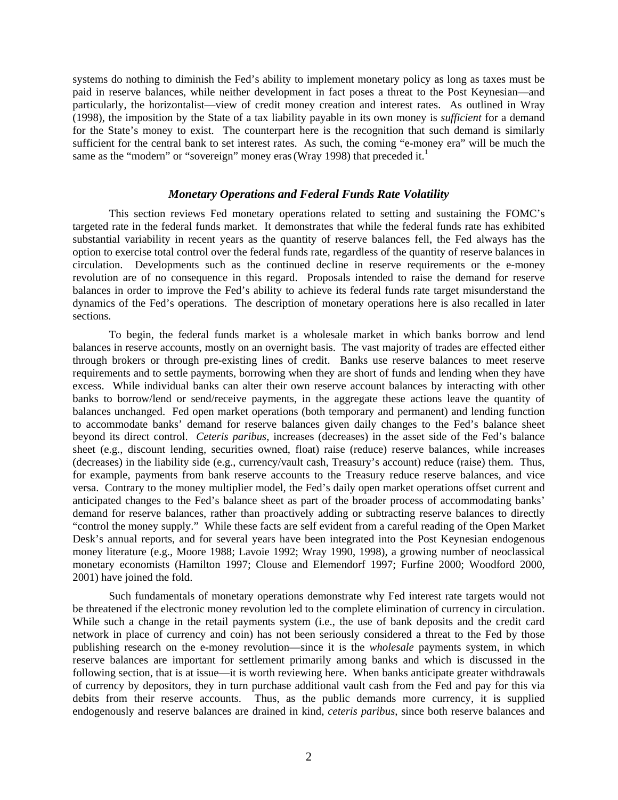systems do nothing to diminish the Fed's ability to implement monetary policy as long as taxes must be paid in reserve balances, while neither development in fact poses a threat to the Post Keynesian—and particularly, the horizontalist—view of credit money creation and interest rates. As outlined in Wray (1998), the imposition by the State of a tax liability payable in its own money is *sufficient* for a demand for the State's money to exist. The counterpart here is the recognition that such demand is similarly sufficient for the central bank to set interest rates. As such, the coming "e-money era" will be much the same as the "modern" or "sovereign" money eras (Wray 1998) that preceded it.<sup>1</sup>

#### *Monetary Operations and Federal Funds Rate Volatility*

This section reviews Fed monetary operations related to setting and sustaining the FOMC's targeted rate in the federal funds market. It demonstrates that while the federal funds rate has exhibited substantial variability in recent years as the quantity of reserve balances fell, the Fed always has the option to exercise total control over the federal funds rate, regardless of the quantity of reserve balances in circulation. Developments such as the continued decline in reserve requirements or the e-money revolution are of no consequence in this regard. Proposals intended to raise the demand for reserve balances in order to improve the Fed's ability to achieve its federal funds rate target misunderstand the dynamics of the Fed's operations. The description of monetary operations here is also recalled in later sections.

To begin, the federal funds market is a wholesale market in which banks borrow and lend balances in reserve accounts, mostly on an overnight basis. The vast majority of trades are effected either through brokers or through pre-existing lines of credit. Banks use reserve balances to meet reserve requirements and to settle payments, borrowing when they are short of funds and lending when they have excess. While individual banks can alter their own reserve account balances by interacting with other banks to borrow/lend or send/receive payments, in the aggregate these actions leave the quantity of balances unchanged. Fed open market operations (both temporary and permanent) and lending function to accommodate banks' demand for reserve balances given daily changes to the Fed's balance sheet beyond its direct control. *Ceteris paribus*, increases (decreases) in the asset side of the Fed's balance sheet (e.g., discount lending, securities owned, float) raise (reduce) reserve balances, while increases (decreases) in the liability side (e.g., currency/vault cash, Treasury's account) reduce (raise) them. Thus, for example, payments from bank reserve accounts to the Treasury reduce reserve balances, and vice versa. Contrary to the money multiplier model, the Fed's daily open market operations offset current and anticipated changes to the Fed's balance sheet as part of the broader process of accommodating banks' demand for reserve balances, rather than proactively adding or subtracting reserve balances to directly "control the money supply." While these facts are self evident from a careful reading of the Open Market Desk's annual reports, and for several years have been integrated into the Post Keynesian endogenous money literature (e.g., Moore 1988; Lavoie 1992; Wray 1990, 1998), a growing number of neoclassical monetary economists (Hamilton 1997; Clouse and Elemendorf 1997; Furfine 2000; Woodford 2000, 2001) have joined the fold.

 Such fundamentals of monetary operations demonstrate why Fed interest rate targets would not be threatened if the electronic money revolution led to the complete elimination of currency in circulation. While such a change in the retail payments system (i.e., the use of bank deposits and the credit card network in place of currency and coin) has not been seriously considered a threat to the Fed by those publishing research on the e-money revolution—since it is the *wholesale* payments system, in which reserve balances are important for settlement primarily among banks and which is discussed in the following section, that is at issue—it is worth reviewing here. When banks anticipate greater withdrawals of currency by depositors, they in turn purchase additional vault cash from the Fed and pay for this via debits from their reserve accounts. Thus, as the public demands more currency, it is supplied endogenously and reserve balances are drained in kind, *ceteris paribus*, since both reserve balances and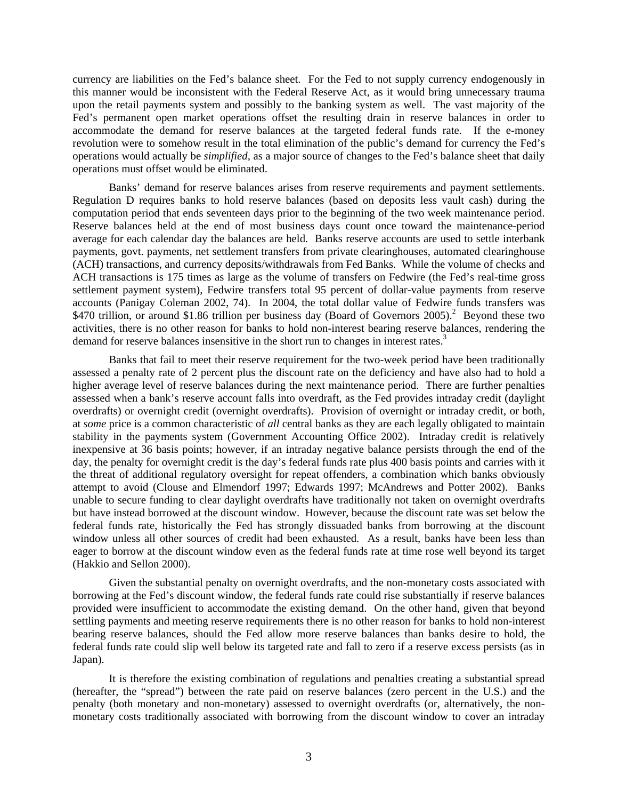currency are liabilities on the Fed's balance sheet. For the Fed to not supply currency endogenously in this manner would be inconsistent with the Federal Reserve Act, as it would bring unnecessary trauma upon the retail payments system and possibly to the banking system as well. The vast majority of the Fed's permanent open market operations offset the resulting drain in reserve balances in order to accommodate the demand for reserve balances at the targeted federal funds rate. If the e-money revolution were to somehow result in the total elimination of the public's demand for currency the Fed's operations would actually be *simplified*, as a major source of changes to the Fed's balance sheet that daily operations must offset would be eliminated.

Banks' demand for reserve balances arises from reserve requirements and payment settlements. Regulation D requires banks to hold reserve balances (based on deposits less vault cash) during the computation period that ends seventeen days prior to the beginning of the two week maintenance period. Reserve balances held at the end of most business days count once toward the maintenance-period average for each calendar day the balances are held. Banks reserve accounts are used to settle interbank payments, govt. payments, net settlement transfers from private clearinghouses, automated clearinghouse (ACH) transactions, and currency deposits/withdrawals from Fed Banks. While the volume of checks and ACH transactions is 175 times as large as the volume of transfers on Fedwire (the Fed's real-time gross settlement payment system), Fedwire transfers total 95 percent of dollar-value payments from reserve accounts (Panigay Coleman 2002, 74). In 2004, the total dollar value of Fedwire funds transfers was \$470 trillion, or around \$1.86 trillion per business day (Board of Governors 2005).<sup>2</sup> Beyond these two activities, there is no other reason for banks to hold non-interest bearing reserve balances, rendering the demand for reserve balances insensitive in the short run to changes in interest rates.<sup>3</sup>

Banks that fail to meet their reserve requirement for the two-week period have been traditionally assessed a penalty rate of 2 percent plus the discount rate on the deficiency and have also had to hold a higher average level of reserve balances during the next maintenance period. There are further penalties assessed when a bank's reserve account falls into overdraft, as the Fed provides intraday credit (daylight overdrafts) or overnight credit (overnight overdrafts). Provision of overnight or intraday credit, or both, at *some* price is a common characteristic of *all* central banks as they are each legally obligated to maintain stability in the payments system (Government Accounting Office 2002). Intraday credit is relatively inexpensive at 36 basis points; however, if an intraday negative balance persists through the end of the day, the penalty for overnight credit is the day's federal funds rate plus 400 basis points and carries with it the threat of additional regulatory oversight for repeat offenders, a combination which banks obviously attempt to avoid (Clouse and Elmendorf 1997; Edwards 1997; McAndrews and Potter 2002). Banks unable to secure funding to clear daylight overdrafts have traditionally not taken on overnight overdrafts but have instead borrowed at the discount window. However, because the discount rate was set below the federal funds rate, historically the Fed has strongly dissuaded banks from borrowing at the discount window unless all other sources of credit had been exhausted. As a result, banks have been less than eager to borrow at the discount window even as the federal funds rate at time rose well beyond its target (Hakkio and Sellon 2000).

Given the substantial penalty on overnight overdrafts, and the non-monetary costs associated with borrowing at the Fed's discount window, the federal funds rate could rise substantially if reserve balances provided were insufficient to accommodate the existing demand. On the other hand, given that beyond settling payments and meeting reserve requirements there is no other reason for banks to hold non-interest bearing reserve balances, should the Fed allow more reserve balances than banks desire to hold, the federal funds rate could slip well below its targeted rate and fall to zero if a reserve excess persists (as in Japan).

It is therefore the existing combination of regulations and penalties creating a substantial spread (hereafter, the "spread") between the rate paid on reserve balances (zero percent in the U.S.) and the penalty (both monetary and non-monetary) assessed to overnight overdrafts (or, alternatively, the nonmonetary costs traditionally associated with borrowing from the discount window to cover an intraday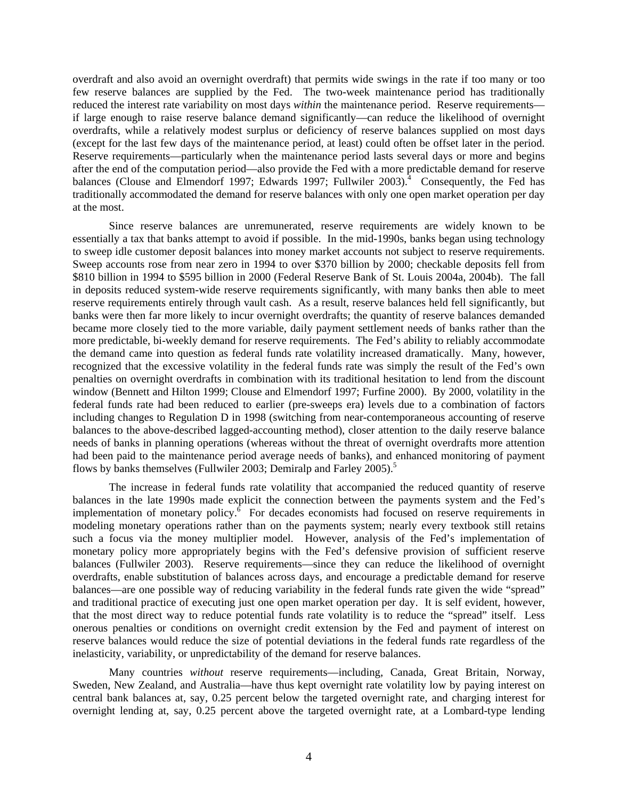overdraft and also avoid an overnight overdraft) that permits wide swings in the rate if too many or too few reserve balances are supplied by the Fed. The two-week maintenance period has traditionally reduced the interest rate variability on most days *within* the maintenance period. Reserve requirements if large enough to raise reserve balance demand significantly—can reduce the likelihood of overnight overdrafts, while a relatively modest surplus or deficiency of reserve balances supplied on most days (except for the last few days of the maintenance period, at least) could often be offset later in the period. Reserve requirements—particularly when the maintenance period lasts several days or more and begins after the end of the computation period—also provide the Fed with a more predictable demand for reserve balances (Clouse and Elmendorf 1997; Edwards 1997; Fullwiler 2003). $4$  Consequently, the Fed has traditionally accommodated the demand for reserve balances with only one open market operation per day at the most.

Since reserve balances are unremunerated, reserve requirements are widely known to be essentially a tax that banks attempt to avoid if possible. In the mid-1990s, banks began using technology to sweep idle customer deposit balances into money market accounts not subject to reserve requirements. Sweep accounts rose from near zero in 1994 to over \$370 billion by 2000; checkable deposits fell from \$810 billion in 1994 to \$595 billion in 2000 (Federal Reserve Bank of St. Louis 2004a, 2004b). The fall in deposits reduced system-wide reserve requirements significantly, with many banks then able to meet reserve requirements entirely through vault cash. As a result, reserve balances held fell significantly, but banks were then far more likely to incur overnight overdrafts; the quantity of reserve balances demanded became more closely tied to the more variable, daily payment settlement needs of banks rather than the more predictable, bi-weekly demand for reserve requirements. The Fed's ability to reliably accommodate the demand came into question as federal funds rate volatility increased dramatically. Many, however, recognized that the excessive volatility in the federal funds rate was simply the result of the Fed's own penalties on overnight overdrafts in combination with its traditional hesitation to lend from the discount window (Bennett and Hilton 1999; Clouse and Elmendorf 1997; Furfine 2000). By 2000, volatility in the federal funds rate had been reduced to earlier (pre-sweeps era) levels due to a combination of factors including changes to Regulation D in 1998 (switching from near-contemporaneous accounting of reserve balances to the above-described lagged-accounting method), closer attention to the daily reserve balance needs of banks in planning operations (whereas without the threat of overnight overdrafts more attention had been paid to the maintenance period average needs of banks), and enhanced monitoring of payment flows by banks themselves (Fullwiler 2003; Demiralp and Farley 2005).<sup>5</sup>

The increase in federal funds rate volatility that accompanied the reduced quantity of reserve balances in the late 1990s made explicit the connection between the payments system and the Fed's implementation of monetary policy. $\frac{6}{5}$  For decades economists had focused on reserve requirements in modeling monetary operations rather than on the payments system; nearly every textbook still retains such a focus via the money multiplier model. However, analysis of the Fed's implementation of monetary policy more appropriately begins with the Fed's defensive provision of sufficient reserve balances (Fullwiler 2003). Reserve requirements—since they can reduce the likelihood of overnight overdrafts, enable substitution of balances across days, and encourage a predictable demand for reserve balances—are one possible way of reducing variability in the federal funds rate given the wide "spread" and traditional practice of executing just one open market operation per day. It is self evident, however, that the most direct way to reduce potential funds rate volatility is to reduce the "spread" itself. Less onerous penalties or conditions on overnight credit extension by the Fed and payment of interest on reserve balances would reduce the size of potential deviations in the federal funds rate regardless of the inelasticity, variability, or unpredictability of the demand for reserve balances.

Many countries *without* reserve requirements—including, Canada, Great Britain, Norway, Sweden, New Zealand, and Australia—have thus kept overnight rate volatility low by paying interest on central bank balances at, say, 0.25 percent below the targeted overnight rate, and charging interest for overnight lending at, say, 0.25 percent above the targeted overnight rate, at a Lombard-type lending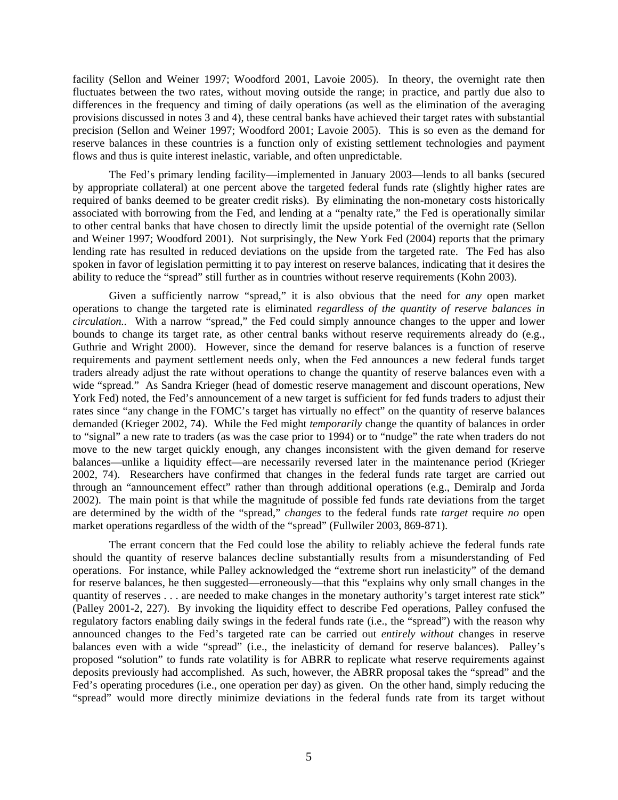facility (Sellon and Weiner 1997; Woodford 2001, Lavoie 2005). In theory, the overnight rate then fluctuates between the two rates, without moving outside the range; in practice, and partly due also to differences in the frequency and timing of daily operations (as well as the elimination of the averaging provisions discussed in notes 3 and 4), these central banks have achieved their target rates with substantial precision (Sellon and Weiner 1997; Woodford 2001; Lavoie 2005). This is so even as the demand for reserve balances in these countries is a function only of existing settlement technologies and payment flows and thus is quite interest inelastic, variable, and often unpredictable.

The Fed's primary lending facility—implemented in January 2003—lends to all banks (secured by appropriate collateral) at one percent above the targeted federal funds rate (slightly higher rates are required of banks deemed to be greater credit risks). By eliminating the non-monetary costs historically associated with borrowing from the Fed, and lending at a "penalty rate," the Fed is operationally similar to other central banks that have chosen to directly limit the upside potential of the overnight rate (Sellon and Weiner 1997; Woodford 2001). Not surprisingly, the New York Fed (2004) reports that the primary lending rate has resulted in reduced deviations on the upside from the targeted rate. The Fed has also spoken in favor of legislation permitting it to pay interest on reserve balances, indicating that it desires the ability to reduce the "spread" still further as in countries without reserve requirements (Kohn 2003).

Given a sufficiently narrow "spread," it is also obvious that the need for *any* open market operations to change the targeted rate is eliminated *regardless of the quantity of reserve balances in circulation..* With a narrow "spread," the Fed could simply announce changes to the upper and lower bounds to change its target rate, as other central banks without reserve requirements already do (e.g., Guthrie and Wright 2000). However, since the demand for reserve balances is a function of reserve requirements and payment settlement needs only, when the Fed announces a new federal funds target traders already adjust the rate without operations to change the quantity of reserve balances even with a wide "spread." As Sandra Krieger (head of domestic reserve management and discount operations, New York Fed) noted, the Fed's announcement of a new target is sufficient for fed funds traders to adjust their rates since "any change in the FOMC's target has virtually no effect" on the quantity of reserve balances demanded (Krieger 2002, 74). While the Fed might *temporarily* change the quantity of balances in order to "signal" a new rate to traders (as was the case prior to 1994) or to "nudge" the rate when traders do not move to the new target quickly enough, any changes inconsistent with the given demand for reserve balances—unlike a liquidity effect—are necessarily reversed later in the maintenance period (Krieger 2002, 74). Researchers have confirmed that changes in the federal funds rate target are carried out through an "announcement effect" rather than through additional operations (e.g., Demiralp and Jorda 2002). The main point is that while the magnitude of possible fed funds rate deviations from the target are determined by the width of the "spread," *changes* to the federal funds rate *target* require *no* open market operations regardless of the width of the "spread" (Fullwiler 2003, 869-871).

The errant concern that the Fed could lose the ability to reliably achieve the federal funds rate should the quantity of reserve balances decline substantially results from a misunderstanding of Fed operations. For instance, while Palley acknowledged the "extreme short run inelasticity" of the demand for reserve balances, he then suggested—erroneously—that this "explains why only small changes in the quantity of reserves . . . are needed to make changes in the monetary authority's target interest rate stick" (Palley 2001-2, 227). By invoking the liquidity effect to describe Fed operations, Palley confused the regulatory factors enabling daily swings in the federal funds rate (i.e., the "spread") with the reason why announced changes to the Fed's targeted rate can be carried out *entirely without* changes in reserve balances even with a wide "spread" (i.e., the inelasticity of demand for reserve balances). Palley's proposed "solution" to funds rate volatility is for ABRR to replicate what reserve requirements against deposits previously had accomplished. As such, however, the ABRR proposal takes the "spread" and the Fed's operating procedures (i.e., one operation per day) as given. On the other hand, simply reducing the "spread" would more directly minimize deviations in the federal funds rate from its target without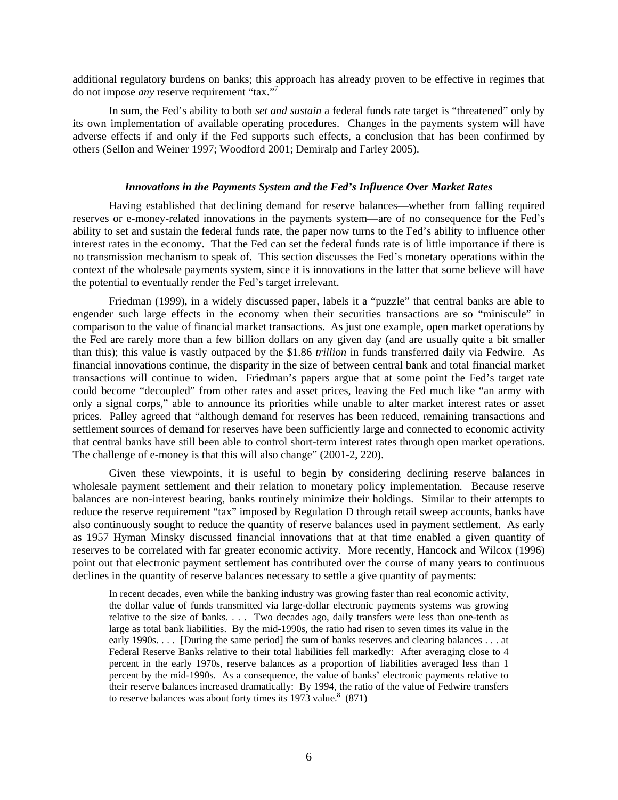additional regulatory burdens on banks; this approach has already proven to be effective in regimes that do not impose *any* reserve requirement "tax."7

In sum, the Fed's ability to both *set and sustain* a federal funds rate target is "threatened" only by its own implementation of available operating procedures. Changes in the payments system will have adverse effects if and only if the Fed supports such effects, a conclusion that has been confirmed by others (Sellon and Weiner 1997; Woodford 2001; Demiralp and Farley 2005).

#### *Innovations in the Payments System and the Fed's Influence Over Market Rates*

Having established that declining demand for reserve balances—whether from falling required reserves or e-money-related innovations in the payments system—are of no consequence for the Fed's ability to set and sustain the federal funds rate, the paper now turns to the Fed's ability to influence other interest rates in the economy. That the Fed can set the federal funds rate is of little importance if there is no transmission mechanism to speak of. This section discusses the Fed's monetary operations within the context of the wholesale payments system, since it is innovations in the latter that some believe will have the potential to eventually render the Fed's target irrelevant.

Friedman (1999), in a widely discussed paper, labels it a "puzzle" that central banks are able to engender such large effects in the economy when their securities transactions are so "miniscule" in comparison to the value of financial market transactions. As just one example, open market operations by the Fed are rarely more than a few billion dollars on any given day (and are usually quite a bit smaller than this); this value is vastly outpaced by the \$1.86 *trillion* in funds transferred daily via Fedwire. As financial innovations continue, the disparity in the size of between central bank and total financial market transactions will continue to widen. Friedman's papers argue that at some point the Fed's target rate could become "decoupled" from other rates and asset prices, leaving the Fed much like "an army with only a signal corps," able to announce its priorities while unable to alter market interest rates or asset prices. Palley agreed that "although demand for reserves has been reduced, remaining transactions and settlement sources of demand for reserves have been sufficiently large and connected to economic activity that central banks have still been able to control short-term interest rates through open market operations. The challenge of e-money is that this will also change" (2001-2, 220).

Given these viewpoints, it is useful to begin by considering declining reserve balances in wholesale payment settlement and their relation to monetary policy implementation. Because reserve balances are non-interest bearing, banks routinely minimize their holdings. Similar to their attempts to reduce the reserve requirement "tax" imposed by Regulation D through retail sweep accounts, banks have also continuously sought to reduce the quantity of reserve balances used in payment settlement. As early as 1957 Hyman Minsky discussed financial innovations that at that time enabled a given quantity of reserves to be correlated with far greater economic activity. More recently, Hancock and Wilcox (1996) point out that electronic payment settlement has contributed over the course of many years to continuous declines in the quantity of reserve balances necessary to settle a give quantity of payments:

In recent decades, even while the banking industry was growing faster than real economic activity, the dollar value of funds transmitted via large-dollar electronic payments systems was growing relative to the size of banks. . . . Two decades ago, daily transfers were less than one-tenth as large as total bank liabilities. By the mid-1990s, the ratio had risen to seven times its value in the early 1990s. . . . [During the same period] the sum of banks reserves and clearing balances . . . at Federal Reserve Banks relative to their total liabilities fell markedly: After averaging close to 4 percent in the early 1970s, reserve balances as a proportion of liabilities averaged less than 1 percent by the mid-1990s. As a consequence, the value of banks' electronic payments relative to their reserve balances increased dramatically: By 1994, the ratio of the value of Fedwire transfers to reserve balances was about forty times its  $1973$  value.<sup>8</sup> (871)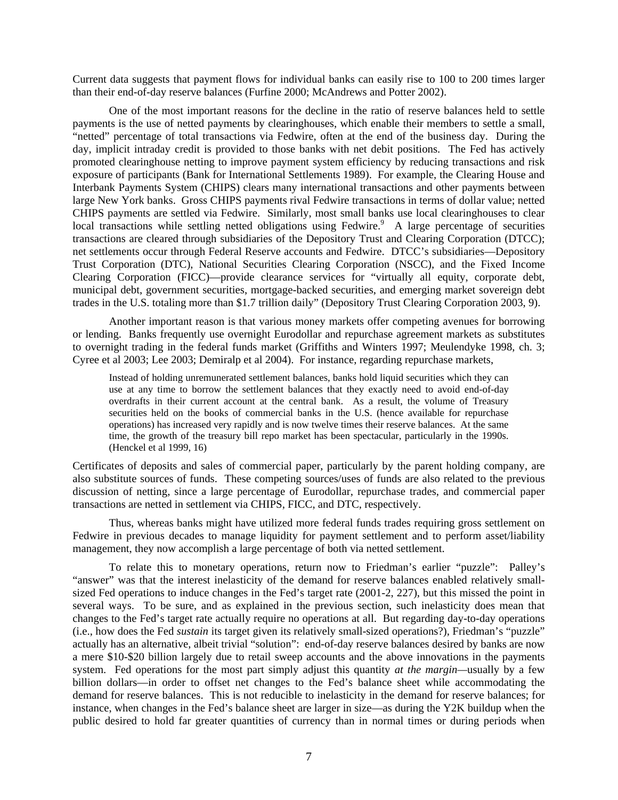Current data suggests that payment flows for individual banks can easily rise to 100 to 200 times larger than their end-of-day reserve balances (Furfine 2000; McAndrews and Potter 2002).

One of the most important reasons for the decline in the ratio of reserve balances held to settle payments is the use of netted payments by clearinghouses, which enable their members to settle a small, "netted" percentage of total transactions via Fedwire, often at the end of the business day. During the day, implicit intraday credit is provided to those banks with net debit positions. The Fed has actively promoted clearinghouse netting to improve payment system efficiency by reducing transactions and risk exposure of participants (Bank for International Settlements 1989). For example, the Clearing House and Interbank Payments System (CHIPS) clears many international transactions and other payments between large New York banks. Gross CHIPS payments rival Fedwire transactions in terms of dollar value; netted CHIPS payments are settled via Fedwire. Similarly, most small banks use local clearinghouses to clear local transactions while settling netted obligations using Fedwire.<sup>9</sup> A large percentage of securities transactions are cleared through subsidiaries of the Depository Trust and Clearing Corporation (DTCC); net settlements occur through Federal Reserve accounts and Fedwire. DTCC's subsidiaries—Depository Trust Corporation (DTC), National Securities Clearing Corporation (NSCC), and the Fixed Income Clearing Corporation (FICC)—provide clearance services for "virtually all equity, corporate debt, municipal debt, government securities, mortgage-backed securities, and emerging market sovereign debt trades in the U.S. totaling more than \$1.7 trillion daily" (Depository Trust Clearing Corporation 2003, 9).

Another important reason is that various money markets offer competing avenues for borrowing or lending. Banks frequently use overnight Eurodollar and repurchase agreement markets as substitutes to overnight trading in the federal funds market (Griffiths and Winters 1997; Meulendyke 1998, ch. 3; Cyree et al 2003; Lee 2003; Demiralp et al 2004). For instance, regarding repurchase markets,

Instead of holding unremunerated settlement balances, banks hold liquid securities which they can use at any time to borrow the settlement balances that they exactly need to avoid end-of-day overdrafts in their current account at the central bank. As a result, the volume of Treasury securities held on the books of commercial banks in the U.S. (hence available for repurchase operations) has increased very rapidly and is now twelve times their reserve balances. At the same time, the growth of the treasury bill repo market has been spectacular, particularly in the 1990s. (Henckel et al 1999, 16)

Certificates of deposits and sales of commercial paper, particularly by the parent holding company, are also substitute sources of funds. These competing sources/uses of funds are also related to the previous discussion of netting, since a large percentage of Eurodollar, repurchase trades, and commercial paper transactions are netted in settlement via CHIPS, FICC, and DTC, respectively.

Thus, whereas banks might have utilized more federal funds trades requiring gross settlement on Fedwire in previous decades to manage liquidity for payment settlement and to perform asset/liability management, they now accomplish a large percentage of both via netted settlement.

To relate this to monetary operations, return now to Friedman's earlier "puzzle": Palley's "answer" was that the interest inelasticity of the demand for reserve balances enabled relatively smallsized Fed operations to induce changes in the Fed's target rate (2001-2, 227), but this missed the point in several ways. To be sure, and as explained in the previous section, such inelasticity does mean that changes to the Fed's target rate actually require no operations at all. But regarding day-to-day operations (i.e., how does the Fed *sustain* its target given its relatively small-sized operations?), Friedman's "puzzle" actually has an alternative, albeit trivial "solution": end-of-day reserve balances desired by banks are now a mere \$10-\$20 billion largely due to retail sweep accounts and the above innovations in the payments system. Fed operations for the most part simply adjust this quantity *at the margin—*usually by a few billion dollars—in order to offset net changes to the Fed's balance sheet while accommodating the demand for reserve balances. This is not reducible to inelasticity in the demand for reserve balances; for instance, when changes in the Fed's balance sheet are larger in size—as during the Y2K buildup when the public desired to hold far greater quantities of currency than in normal times or during periods when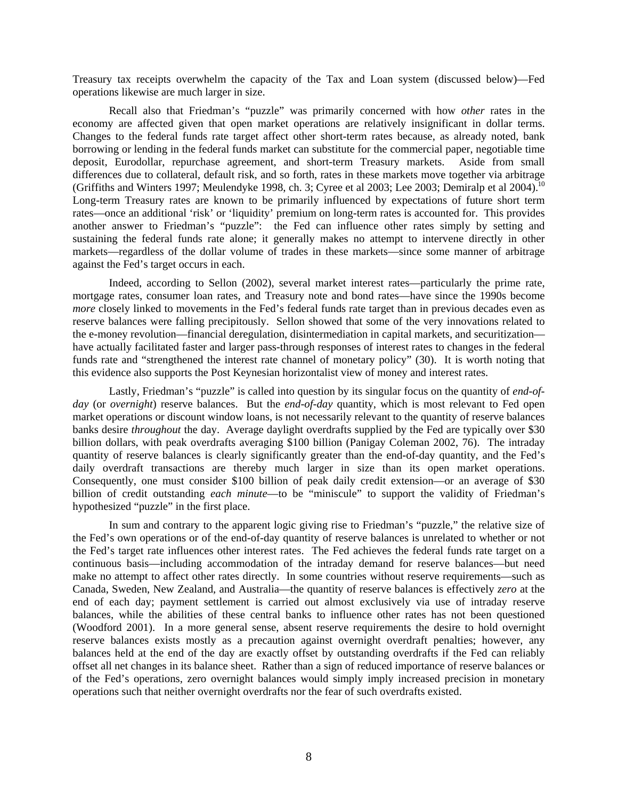Treasury tax receipts overwhelm the capacity of the Tax and Loan system (discussed below)—Fed operations likewise are much larger in size.

Recall also that Friedman's "puzzle" was primarily concerned with how *other* rates in the economy are affected given that open market operations are relatively insignificant in dollar terms. Changes to the federal funds rate target affect other short-term rates because, as already noted, bank borrowing or lending in the federal funds market can substitute for the commercial paper, negotiable time deposit, Eurodollar, repurchase agreement, and short-term Treasury markets. Aside from small differences due to collateral, default risk, and so forth, rates in these markets move together via arbitrage (Griffiths and Winters 1997; Meulendyke 1998, ch. 3; Cyree et al 2003; Lee 2003; Demiralp et al 2004).<sup>10</sup> Long-term Treasury rates are known to be primarily influenced by expectations of future short term rates—once an additional 'risk' or 'liquidity' premium on long-term rates is accounted for. This provides another answer to Friedman's "puzzle": the Fed can influence other rates simply by setting and sustaining the federal funds rate alone; it generally makes no attempt to intervene directly in other markets—regardless of the dollar volume of trades in these markets—since some manner of arbitrage against the Fed's target occurs in each.

Indeed, according to Sellon (2002), several market interest rates—particularly the prime rate, mortgage rates, consumer loan rates, and Treasury note and bond rates—have since the 1990s become *more* closely linked to movements in the Fed's federal funds rate target than in previous decades even as reserve balances were falling precipitously. Sellon showed that some of the very innovations related to the e-money revolution—financial deregulation, disintermediation in capital markets, and securitization have actually facilitated faster and larger pass-through responses of interest rates to changes in the federal funds rate and "strengthened the interest rate channel of monetary policy" (30). It is worth noting that this evidence also supports the Post Keynesian horizontalist view of money and interest rates.

Lastly, Friedman's "puzzle" is called into question by its singular focus on the quantity of *end-ofday* (or *overnight*) reserve balances. But the *end-of-day* quantity, which is most relevant to Fed open market operations or discount window loans, is not necessarily relevant to the quantity of reserve balances banks desire *throughout* the day. Average daylight overdrafts supplied by the Fed are typically over \$30 billion dollars, with peak overdrafts averaging \$100 billion (Panigay Coleman 2002, 76). The intraday quantity of reserve balances is clearly significantly greater than the end-of-day quantity, and the Fed's daily overdraft transactions are thereby much larger in size than its open market operations. Consequently, one must consider \$100 billion of peak daily credit extension—or an average of \$30 billion of credit outstanding *each minute*—to be "miniscule" to support the validity of Friedman's hypothesized "puzzle" in the first place.

In sum and contrary to the apparent logic giving rise to Friedman's "puzzle," the relative size of the Fed's own operations or of the end-of-day quantity of reserve balances is unrelated to whether or not the Fed's target rate influences other interest rates. The Fed achieves the federal funds rate target on a continuous basis—including accommodation of the intraday demand for reserve balances—but need make no attempt to affect other rates directly. In some countries without reserve requirements—such as Canada, Sweden, New Zealand, and Australia—the quantity of reserve balances is effectively *zero* at the end of each day; payment settlement is carried out almost exclusively via use of intraday reserve balances, while the abilities of these central banks to influence other rates has not been questioned (Woodford 2001). In a more general sense, absent reserve requirements the desire to hold overnight reserve balances exists mostly as a precaution against overnight overdraft penalties; however, any balances held at the end of the day are exactly offset by outstanding overdrafts if the Fed can reliably offset all net changes in its balance sheet. Rather than a sign of reduced importance of reserve balances or of the Fed's operations, zero overnight balances would simply imply increased precision in monetary operations such that neither overnight overdrafts nor the fear of such overdrafts existed.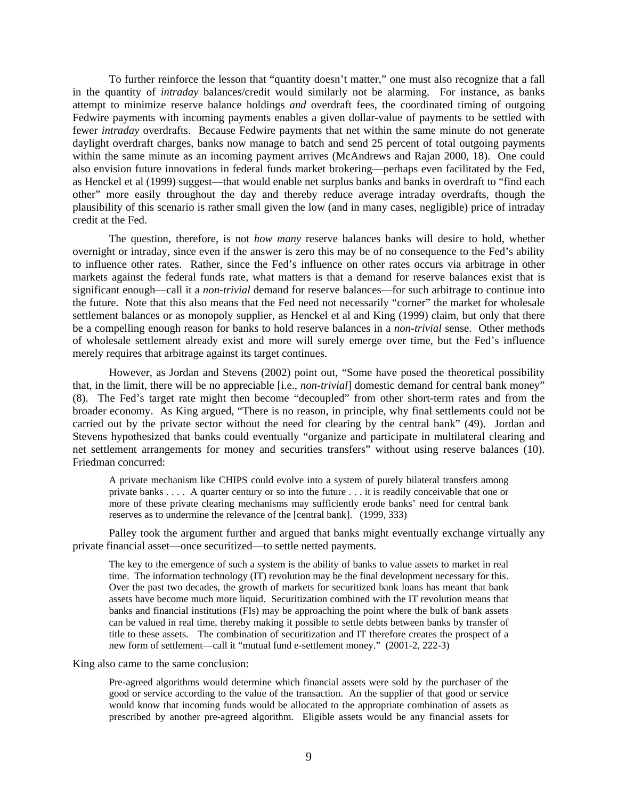To further reinforce the lesson that "quantity doesn't matter," one must also recognize that a fall in the quantity of *intraday* balances/credit would similarly not be alarming. For instance, as banks attempt to minimize reserve balance holdings *and* overdraft fees, the coordinated timing of outgoing Fedwire payments with incoming payments enables a given dollar-value of payments to be settled with fewer *intraday* overdrafts. Because Fedwire payments that net within the same minute do not generate daylight overdraft charges, banks now manage to batch and send 25 percent of total outgoing payments within the same minute as an incoming payment arrives (McAndrews and Rajan 2000, 18). One could also envision future innovations in federal funds market brokering—perhaps even facilitated by the Fed, as Henckel et al (1999) suggest—that would enable net surplus banks and banks in overdraft to "find each other" more easily throughout the day and thereby reduce average intraday overdrafts, though the plausibility of this scenario is rather small given the low (and in many cases, negligible) price of intraday credit at the Fed.

The question, therefore, is not *how many* reserve balances banks will desire to hold, whether overnight or intraday, since even if the answer is zero this may be of no consequence to the Fed's ability to influence other rates. Rather, since the Fed's influence on other rates occurs via arbitrage in other markets against the federal funds rate, what matters is that a demand for reserve balances exist that is significant enough—call it a *non-trivial* demand for reserve balances—for such arbitrage to continue into the future. Note that this also means that the Fed need not necessarily "corner" the market for wholesale settlement balances or as monopoly supplier, as Henckel et al and King (1999) claim, but only that there be a compelling enough reason for banks to hold reserve balances in a *non-trivial* sense. Other methods of wholesale settlement already exist and more will surely emerge over time, but the Fed's influence merely requires that arbitrage against its target continues.

However, as Jordan and Stevens (2002) point out, "Some have posed the theoretical possibility that, in the limit, there will be no appreciable [i.e., *non-trivial*] domestic demand for central bank money" (8). The Fed's target rate might then become "decoupled" from other short-term rates and from the broader economy. As King argued, "There is no reason, in principle, why final settlements could not be carried out by the private sector without the need for clearing by the central bank" (49). Jordan and Stevens hypothesized that banks could eventually "organize and participate in multilateral clearing and net settlement arrangements for money and securities transfers" without using reserve balances (10). Friedman concurred:

A private mechanism like CHIPS could evolve into a system of purely bilateral transfers among private banks . . . . A quarter century or so into the future . . . it is readily conceivable that one or more of these private clearing mechanisms may sufficiently erode banks' need for central bank reserves as to undermine the relevance of the [central bank]. (1999, 333)

Palley took the argument further and argued that banks might eventually exchange virtually any private financial asset—once securitized—to settle netted payments.

The key to the emergence of such a system is the ability of banks to value assets to market in real time. The information technology (IT) revolution may be the final development necessary for this. Over the past two decades, the growth of markets for securitized bank loans has meant that bank assets have become much more liquid. Securitization combined with the IT revolution means that banks and financial institutions (FIs) may be approaching the point where the bulk of bank assets can be valued in real time, thereby making it possible to settle debts between banks by transfer of title to these assets. The combination of securitization and IT therefore creates the prospect of a new form of settlement—call it "mutual fund e-settlement money." (2001-2, 222-3)

King also came to the same conclusion:

Pre-agreed algorithms would determine which financial assets were sold by the purchaser of the good or service according to the value of the transaction. An the supplier of that good or service would know that incoming funds would be allocated to the appropriate combination of assets as prescribed by another pre-agreed algorithm. Eligible assets would be any financial assets for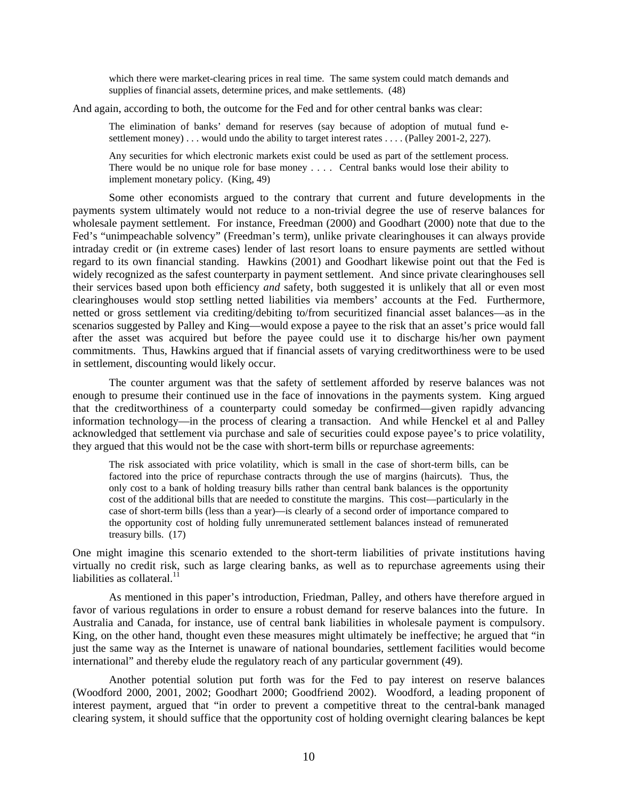which there were market-clearing prices in real time. The same system could match demands and supplies of financial assets, determine prices, and make settlements. (48)

And again, according to both, the outcome for the Fed and for other central banks was clear:

The elimination of banks' demand for reserves (say because of adoption of mutual fund esettlement money) . . . would undo the ability to target interest rates . . . . (Palley 2001-2, 227).

Any securities for which electronic markets exist could be used as part of the settlement process. There would be no unique role for base money . . . . Central banks would lose their ability to implement monetary policy. (King, 49)

Some other economists argued to the contrary that current and future developments in the payments system ultimately would not reduce to a non-trivial degree the use of reserve balances for wholesale payment settlement. For instance, Freedman (2000) and Goodhart (2000) note that due to the Fed's "unimpeachable solvency" (Freedman's term), unlike private clearinghouses it can always provide intraday credit or (in extreme cases) lender of last resort loans to ensure payments are settled without regard to its own financial standing. Hawkins (2001) and Goodhart likewise point out that the Fed is widely recognized as the safest counterparty in payment settlement. And since private clearinghouses sell their services based upon both efficiency *and* safety, both suggested it is unlikely that all or even most clearinghouses would stop settling netted liabilities via members' accounts at the Fed. Furthermore, netted or gross settlement via crediting/debiting to/from securitized financial asset balances—as in the scenarios suggested by Palley and King—would expose a payee to the risk that an asset's price would fall after the asset was acquired but before the payee could use it to discharge his/her own payment commitments. Thus, Hawkins argued that if financial assets of varying creditworthiness were to be used in settlement, discounting would likely occur.

 The counter argument was that the safety of settlement afforded by reserve balances was not enough to presume their continued use in the face of innovations in the payments system. King argued that the creditworthiness of a counterparty could someday be confirmed—given rapidly advancing information technology—in the process of clearing a transaction. And while Henckel et al and Palley acknowledged that settlement via purchase and sale of securities could expose payee's to price volatility, they argued that this would not be the case with short-term bills or repurchase agreements:

The risk associated with price volatility, which is small in the case of short-term bills, can be factored into the price of repurchase contracts through the use of margins (haircuts). Thus, the only cost to a bank of holding treasury bills rather than central bank balances is the opportunity cost of the additional bills that are needed to constitute the margins. This cost—particularly in the case of short-term bills (less than a year)—is clearly of a second order of importance compared to the opportunity cost of holding fully unremunerated settlement balances instead of remunerated treasury bills. (17)

One might imagine this scenario extended to the short-term liabilities of private institutions having virtually no credit risk, such as large clearing banks, as well as to repurchase agreements using their liabilities as collateral.<sup>11</sup>

As mentioned in this paper's introduction, Friedman, Palley, and others have therefore argued in favor of various regulations in order to ensure a robust demand for reserve balances into the future. In Australia and Canada, for instance, use of central bank liabilities in wholesale payment is compulsory. King, on the other hand, thought even these measures might ultimately be ineffective; he argued that "in just the same way as the Internet is unaware of national boundaries, settlement facilities would become international" and thereby elude the regulatory reach of any particular government (49).

Another potential solution put forth was for the Fed to pay interest on reserve balances (Woodford 2000, 2001, 2002; Goodhart 2000; Goodfriend 2002). Woodford, a leading proponent of interest payment, argued that "in order to prevent a competitive threat to the central-bank managed clearing system, it should suffice that the opportunity cost of holding overnight clearing balances be kept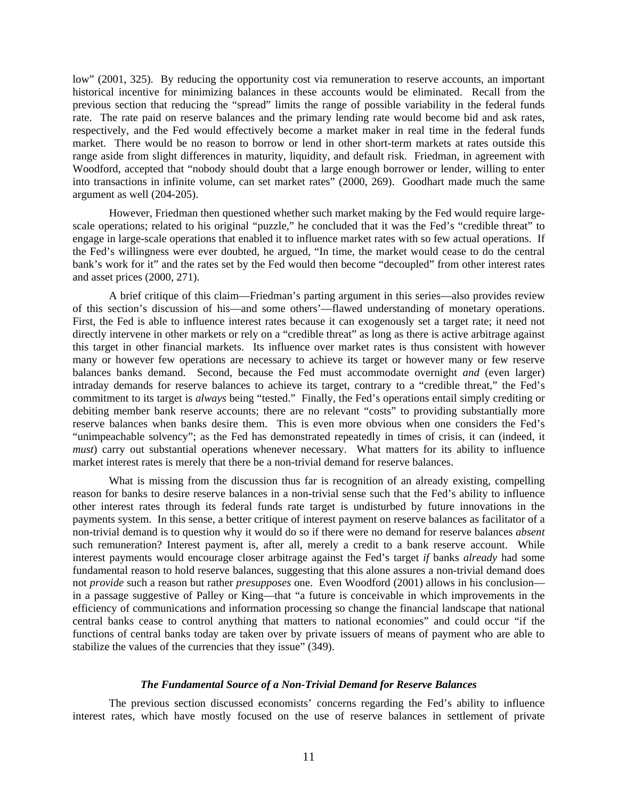low" (2001, 325). By reducing the opportunity cost via remuneration to reserve accounts, an important historical incentive for minimizing balances in these accounts would be eliminated. Recall from the previous section that reducing the "spread" limits the range of possible variability in the federal funds rate. The rate paid on reserve balances and the primary lending rate would become bid and ask rates, respectively, and the Fed would effectively become a market maker in real time in the federal funds market. There would be no reason to borrow or lend in other short-term markets at rates outside this range aside from slight differences in maturity, liquidity, and default risk. Friedman, in agreement with Woodford, accepted that "nobody should doubt that a large enough borrower or lender, willing to enter into transactions in infinite volume, can set market rates" (2000, 269). Goodhart made much the same argument as well (204-205).

However, Friedman then questioned whether such market making by the Fed would require largescale operations; related to his original "puzzle," he concluded that it was the Fed's "credible threat" to engage in large-scale operations that enabled it to influence market rates with so few actual operations. If the Fed's willingness were ever doubted, he argued, "In time, the market would cease to do the central bank's work for it" and the rates set by the Fed would then become "decoupled" from other interest rates and asset prices (2000, 271).

A brief critique of this claim—Friedman's parting argument in this series—also provides review of this section's discussion of his—and some others'—flawed understanding of monetary operations. First, the Fed is able to influence interest rates because it can exogenously set a target rate; it need not directly intervene in other markets or rely on a "credible threat" as long as there is active arbitrage against this target in other financial markets. Its influence over market rates is thus consistent with however many or however few operations are necessary to achieve its target or however many or few reserve balances banks demand. Second, because the Fed must accommodate overnight *and* (even larger) intraday demands for reserve balances to achieve its target, contrary to a "credible threat," the Fed's commitment to its target is *always* being "tested." Finally, the Fed's operations entail simply crediting or debiting member bank reserve accounts; there are no relevant "costs" to providing substantially more reserve balances when banks desire them. This is even more obvious when one considers the Fed's "unimpeachable solvency"; as the Fed has demonstrated repeatedly in times of crisis, it can (indeed, it *must*) carry out substantial operations whenever necessary. What matters for its ability to influence market interest rates is merely that there be a non-trivial demand for reserve balances.

What is missing from the discussion thus far is recognition of an already existing, compelling reason for banks to desire reserve balances in a non-trivial sense such that the Fed's ability to influence other interest rates through its federal funds rate target is undisturbed by future innovations in the payments system. In this sense, a better critique of interest payment on reserve balances as facilitator of a non-trivial demand is to question why it would do so if there were no demand for reserve balances *absent* such remuneration? Interest payment is, after all, merely a credit to a bank reserve account. While interest payments would encourage closer arbitrage against the Fed's target *if* banks *already* had some fundamental reason to hold reserve balances, suggesting that this alone assures a non-trivial demand does not *provide* such a reason but rather *presupposes* one. Even Woodford (2001) allows in his conclusion in a passage suggestive of Palley or King—that "a future is conceivable in which improvements in the efficiency of communications and information processing so change the financial landscape that national central banks cease to control anything that matters to national economies" and could occur "if the functions of central banks today are taken over by private issuers of means of payment who are able to stabilize the values of the currencies that they issue" (349).

#### *The Fundamental Source of a Non-Trivial Demand for Reserve Balances*

The previous section discussed economists' concerns regarding the Fed's ability to influence interest rates, which have mostly focused on the use of reserve balances in settlement of private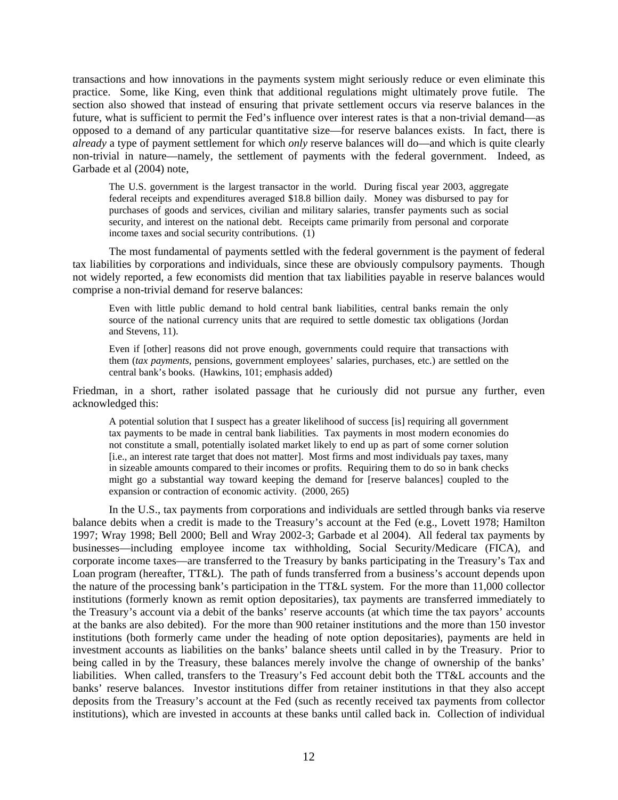transactions and how innovations in the payments system might seriously reduce or even eliminate this practice. Some, like King, even think that additional regulations might ultimately prove futile. The section also showed that instead of ensuring that private settlement occurs via reserve balances in the future, what is sufficient to permit the Fed's influence over interest rates is that a non-trivial demand—as opposed to a demand of any particular quantitative size—for reserve balances exists. In fact, there is *already* a type of payment settlement for which *only* reserve balances will do—and which is quite clearly non-trivial in nature—namely, the settlement of payments with the federal government. Indeed, as Garbade et al (2004) note,

The U.S. government is the largest transactor in the world. During fiscal year 2003, aggregate federal receipts and expenditures averaged \$18.8 billion daily. Money was disbursed to pay for purchases of goods and services, civilian and military salaries, transfer payments such as social security, and interest on the national debt. Receipts came primarily from personal and corporate income taxes and social security contributions. (1)

The most fundamental of payments settled with the federal government is the payment of federal tax liabilities by corporations and individuals, since these are obviously compulsory payments. Though not widely reported, a few economists did mention that tax liabilities payable in reserve balances would comprise a non-trivial demand for reserve balances:

Even with little public demand to hold central bank liabilities, central banks remain the only source of the national currency units that are required to settle domestic tax obligations (Jordan and Stevens, 11).

Even if [other] reasons did not prove enough, governments could require that transactions with them (*tax payments*, pensions, government employees' salaries, purchases, etc.) are settled on the central bank's books. (Hawkins, 101; emphasis added)

Friedman, in a short, rather isolated passage that he curiously did not pursue any further, even acknowledged this:

A potential solution that I suspect has a greater likelihood of success [is] requiring all government tax payments to be made in central bank liabilities. Tax payments in most modern economies do not constitute a small, potentially isolated market likely to end up as part of some corner solution [i.e., an interest rate target that does not matter]. Most firms and most individuals pay taxes, many in sizeable amounts compared to their incomes or profits. Requiring them to do so in bank checks might go a substantial way toward keeping the demand for [reserve balances] coupled to the expansion or contraction of economic activity. (2000, 265)

In the U.S., tax payments from corporations and individuals are settled through banks via reserve balance debits when a credit is made to the Treasury's account at the Fed (e.g., Lovett 1978; Hamilton 1997; Wray 1998; Bell 2000; Bell and Wray 2002-3; Garbade et al 2004). All federal tax payments by businesses—including employee income tax withholding, Social Security/Medicare (FICA), and corporate income taxes—are transferred to the Treasury by banks participating in the Treasury's Tax and Loan program (hereafter, TT&L). The path of funds transferred from a business's account depends upon the nature of the processing bank's participation in the TT&L system. For the more than 11,000 collector institutions (formerly known as remit option depositaries), tax payments are transferred immediately to the Treasury's account via a debit of the banks' reserve accounts (at which time the tax payors' accounts at the banks are also debited). For the more than 900 retainer institutions and the more than 150 investor institutions (both formerly came under the heading of note option depositaries), payments are held in investment accounts as liabilities on the banks' balance sheets until called in by the Treasury. Prior to being called in by the Treasury, these balances merely involve the change of ownership of the banks' liabilities. When called, transfers to the Treasury's Fed account debit both the TT&L accounts and the banks' reserve balances. Investor institutions differ from retainer institutions in that they also accept deposits from the Treasury's account at the Fed (such as recently received tax payments from collector institutions), which are invested in accounts at these banks until called back in. Collection of individual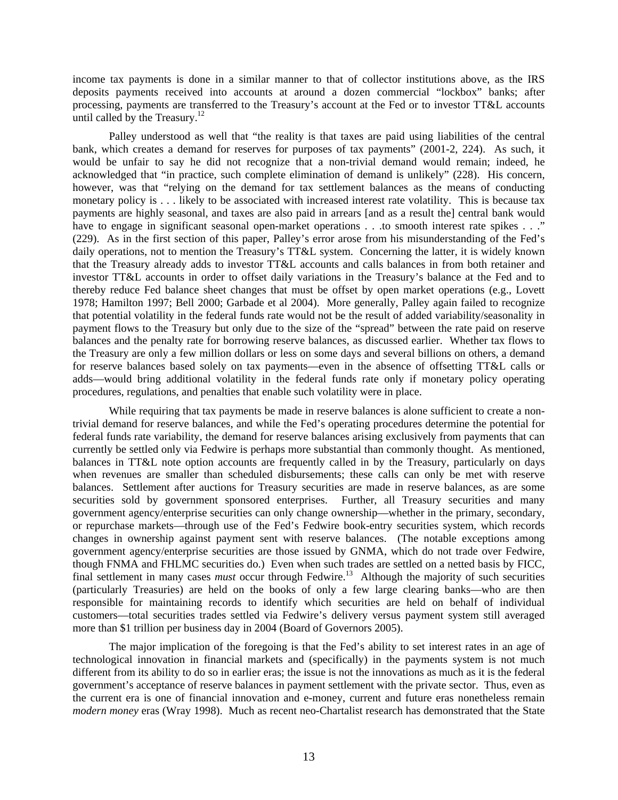income tax payments is done in a similar manner to that of collector institutions above, as the IRS deposits payments received into accounts at around a dozen commercial "lockbox" banks; after processing, payments are transferred to the Treasury's account at the Fed or to investor TT&L accounts until called by the Treasury.<sup>12</sup>

Palley understood as well that "the reality is that taxes are paid using liabilities of the central bank, which creates a demand for reserves for purposes of tax payments" (2001-2, 224). As such, it would be unfair to say he did not recognize that a non-trivial demand would remain; indeed, he acknowledged that "in practice, such complete elimination of demand is unlikely" (228). His concern, however, was that "relying on the demand for tax settlement balances as the means of conducting monetary policy is . . . likely to be associated with increased interest rate volatility. This is because tax payments are highly seasonal, and taxes are also paid in arrears [and as a result the] central bank would have to engage in significant seasonal open-market operations . . . to smooth interest rate spikes . . ." (229). As in the first section of this paper, Palley's error arose from his misunderstanding of the Fed's daily operations, not to mention the Treasury's TT&L system. Concerning the latter, it is widely known that the Treasury already adds to investor TT&L accounts and calls balances in from both retainer and investor TT&L accounts in order to offset daily variations in the Treasury's balance at the Fed and to thereby reduce Fed balance sheet changes that must be offset by open market operations (e.g., Lovett 1978; Hamilton 1997; Bell 2000; Garbade et al 2004). More generally, Palley again failed to recognize that potential volatility in the federal funds rate would not be the result of added variability/seasonality in payment flows to the Treasury but only due to the size of the "spread" between the rate paid on reserve balances and the penalty rate for borrowing reserve balances, as discussed earlier. Whether tax flows to the Treasury are only a few million dollars or less on some days and several billions on others, a demand for reserve balances based solely on tax payments—even in the absence of offsetting TT&L calls or adds—would bring additional volatility in the federal funds rate only if monetary policy operating procedures, regulations, and penalties that enable such volatility were in place.

While requiring that tax payments be made in reserve balances is alone sufficient to create a nontrivial demand for reserve balances, and while the Fed's operating procedures determine the potential for federal funds rate variability, the demand for reserve balances arising exclusively from payments that can currently be settled only via Fedwire is perhaps more substantial than commonly thought. As mentioned, balances in TT&L note option accounts are frequently called in by the Treasury, particularly on days when revenues are smaller than scheduled disbursements; these calls can only be met with reserve balances. Settlement after auctions for Treasury securities are made in reserve balances, as are some securities sold by government sponsored enterprises. Further, all Treasury securities and many government agency/enterprise securities can only change ownership—whether in the primary, secondary, or repurchase markets—through use of the Fed's Fedwire book-entry securities system, which records changes in ownership against payment sent with reserve balances. (The notable exceptions among government agency/enterprise securities are those issued by GNMA, which do not trade over Fedwire, though FNMA and FHLMC securities do.) Even when such trades are settled on a netted basis by FICC, final settlement in many cases *must* occur through Fedwire.<sup>13</sup> Although the majority of such securities (particularly Treasuries) are held on the books of only a few large clearing banks—who are then responsible for maintaining records to identify which securities are held on behalf of individual customers—total securities trades settled via Fedwire's delivery versus payment system still averaged more than \$1 trillion per business day in 2004 (Board of Governors 2005).

The major implication of the foregoing is that the Fed's ability to set interest rates in an age of technological innovation in financial markets and (specifically) in the payments system is not much different from its ability to do so in earlier eras; the issue is not the innovations as much as it is the federal government's acceptance of reserve balances in payment settlement with the private sector. Thus, even as the current era is one of financial innovation and e-money, current and future eras nonetheless remain *modern money* eras (Wray 1998). Much as recent neo-Chartalist research has demonstrated that the State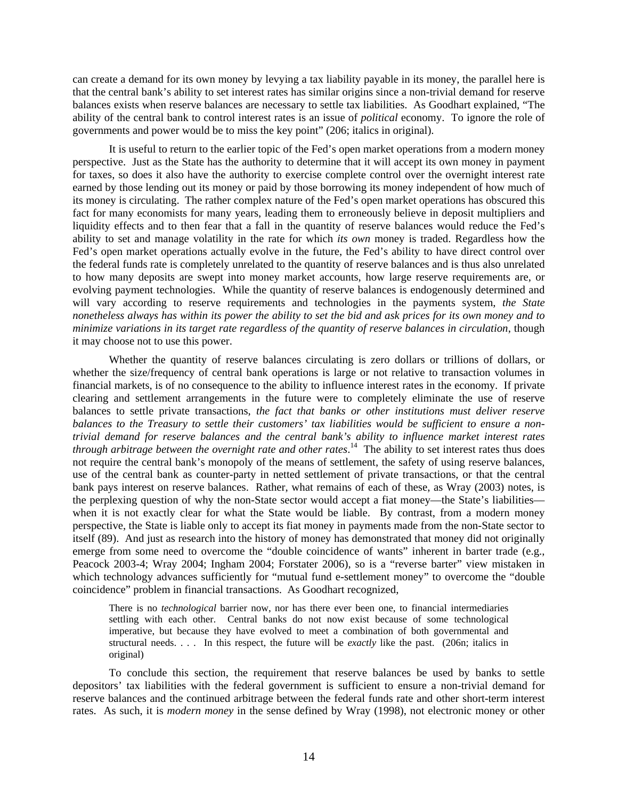can create a demand for its own money by levying a tax liability payable in its money, the parallel here is that the central bank's ability to set interest rates has similar origins since a non-trivial demand for reserve balances exists when reserve balances are necessary to settle tax liabilities. As Goodhart explained, "The ability of the central bank to control interest rates is an issue of *political* economy. To ignore the role of governments and power would be to miss the key point" (206; italics in original).

It is useful to return to the earlier topic of the Fed's open market operations from a modern money perspective. Just as the State has the authority to determine that it will accept its own money in payment for taxes, so does it also have the authority to exercise complete control over the overnight interest rate earned by those lending out its money or paid by those borrowing its money independent of how much of its money is circulating. The rather complex nature of the Fed's open market operations has obscured this fact for many economists for many years, leading them to erroneously believe in deposit multipliers and liquidity effects and to then fear that a fall in the quantity of reserve balances would reduce the Fed's ability to set and manage volatility in the rate for which *its own* money is traded. Regardless how the Fed's open market operations actually evolve in the future, the Fed's ability to have direct control over the federal funds rate is completely unrelated to the quantity of reserve balances and is thus also unrelated to how many deposits are swept into money market accounts, how large reserve requirements are, or evolving payment technologies. While the quantity of reserve balances is endogenously determined and will vary according to reserve requirements and technologies in the payments system, *the State nonetheless always has within its power the ability to set the bid and ask prices for its own money and to minimize variations in its target rate regardless of the quantity of reserve balances in circulation*, though it may choose not to use this power.

Whether the quantity of reserve balances circulating is zero dollars or trillions of dollars, or whether the size/frequency of central bank operations is large or not relative to transaction volumes in financial markets, is of no consequence to the ability to influence interest rates in the economy. If private clearing and settlement arrangements in the future were to completely eliminate the use of reserve balances to settle private transactions, *the fact that banks or other institutions must deliver reserve balances to the Treasury to settle their customers' tax liabilities would be sufficient to ensure a nontrivial demand for reserve balances and the central bank's ability to influence market interest rates through arbitrage between the overnight rate and other rates*. 14 The ability to set interest rates thus does not require the central bank's monopoly of the means of settlement, the safety of using reserve balances, use of the central bank as counter-party in netted settlement of private transactions, or that the central bank pays interest on reserve balances. Rather, what remains of each of these, as Wray (2003) notes, is the perplexing question of why the non-State sector would accept a fiat money—the State's liabilities when it is not exactly clear for what the State would be liable. By contrast, from a modern money perspective, the State is liable only to accept its fiat money in payments made from the non-State sector to itself (89). And just as research into the history of money has demonstrated that money did not originally emerge from some need to overcome the "double coincidence of wants" inherent in barter trade (e.g., Peacock 2003-4; Wray 2004; Ingham 2004; Forstater 2006), so is a "reverse barter" view mistaken in which technology advances sufficiently for "mutual fund e-settlement money" to overcome the "double coincidence" problem in financial transactions. As Goodhart recognized,

There is no *technological* barrier now, nor has there ever been one, to financial intermediaries settling with each other. Central banks do not now exist because of some technological imperative, but because they have evolved to meet a combination of both governmental and structural needs. . . . In this respect, the future will be *exactly* like the past. (206n; italics in original)

 To conclude this section, the requirement that reserve balances be used by banks to settle depositors' tax liabilities with the federal government is sufficient to ensure a non-trivial demand for reserve balances and the continued arbitrage between the federal funds rate and other short-term interest rates. As such, it is *modern money* in the sense defined by Wray (1998), not electronic money or other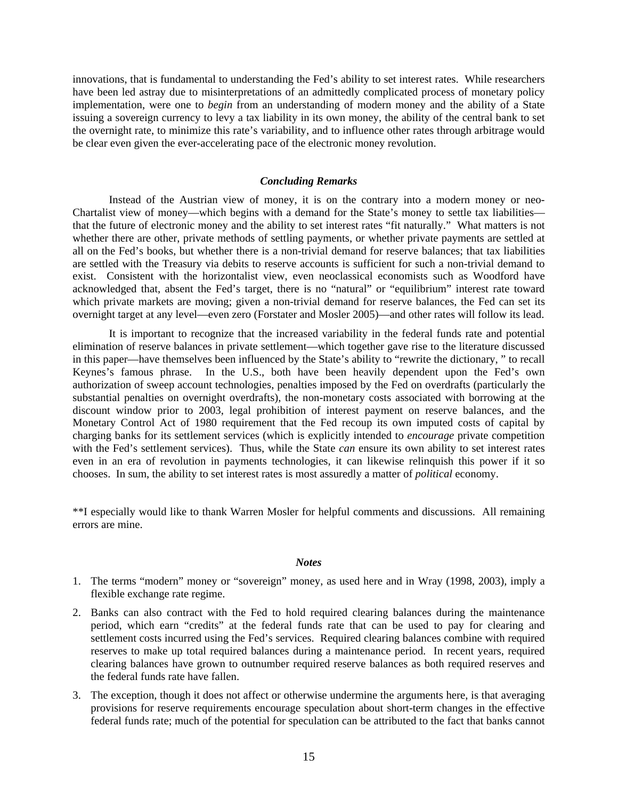innovations, that is fundamental to understanding the Fed's ability to set interest rates. While researchers have been led astray due to misinterpretations of an admittedly complicated process of monetary policy implementation, were one to *begin* from an understanding of modern money and the ability of a State issuing a sovereign currency to levy a tax liability in its own money, the ability of the central bank to set the overnight rate, to minimize this rate's variability, and to influence other rates through arbitrage would be clear even given the ever-accelerating pace of the electronic money revolution.

#### *Concluding Remarks*

Instead of the Austrian view of money, it is on the contrary into a modern money or neo-Chartalist view of money—which begins with a demand for the State's money to settle tax liabilities that the future of electronic money and the ability to set interest rates "fit naturally." What matters is not whether there are other, private methods of settling payments, or whether private payments are settled at all on the Fed's books, but whether there is a non-trivial demand for reserve balances; that tax liabilities are settled with the Treasury via debits to reserve accounts is sufficient for such a non-trivial demand to exist. Consistent with the horizontalist view, even neoclassical economists such as Woodford have acknowledged that, absent the Fed's target, there is no "natural" or "equilibrium" interest rate toward which private markets are moving; given a non-trivial demand for reserve balances, the Fed can set its overnight target at any level—even zero (Forstater and Mosler 2005)—and other rates will follow its lead.

It is important to recognize that the increased variability in the federal funds rate and potential elimination of reserve balances in private settlement—which together gave rise to the literature discussed in this paper—have themselves been influenced by the State's ability to "rewrite the dictionary, " to recall Keynes's famous phrase. In the U.S., both have been heavily dependent upon the Fed's own authorization of sweep account technologies, penalties imposed by the Fed on overdrafts (particularly the substantial penalties on overnight overdrafts), the non-monetary costs associated with borrowing at the discount window prior to 2003, legal prohibition of interest payment on reserve balances, and the Monetary Control Act of 1980 requirement that the Fed recoup its own imputed costs of capital by charging banks for its settlement services (which is explicitly intended to *encourage* private competition with the Fed's settlement services). Thus, while the State *can* ensure its own ability to set interest rates even in an era of revolution in payments technologies, it can likewise relinquish this power if it so chooses. In sum, the ability to set interest rates is most assuredly a matter of *political* economy.

\*\*I especially would like to thank Warren Mosler for helpful comments and discussions. All remaining errors are mine.

#### *Notes*

- 1. The terms "modern" money or "sovereign" money, as used here and in Wray (1998, 2003), imply a flexible exchange rate regime.
- 2. Banks can also contract with the Fed to hold required clearing balances during the maintenance period, which earn "credits" at the federal funds rate that can be used to pay for clearing and settlement costs incurred using the Fed's services. Required clearing balances combine with required reserves to make up total required balances during a maintenance period. In recent years, required clearing balances have grown to outnumber required reserve balances as both required reserves and the federal funds rate have fallen.
- 3. The exception, though it does not affect or otherwise undermine the arguments here, is that averaging provisions for reserve requirements encourage speculation about short-term changes in the effective federal funds rate; much of the potential for speculation can be attributed to the fact that banks cannot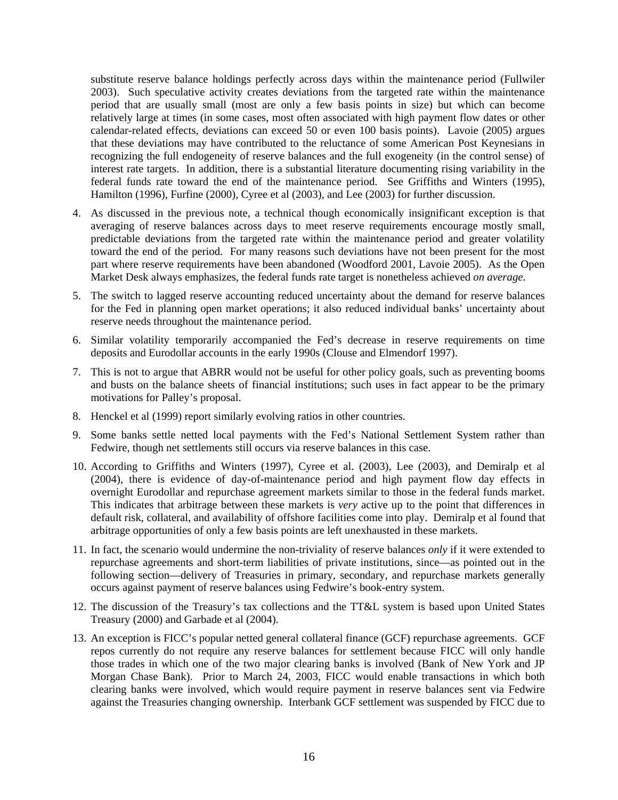substitute reserve balance holdings perfectly across days within the maintenance period (Fullwiler 2003). Such speculative activity creates deviations from the targeted rate within the maintenance period that are usually small (most are only a few basis points in size) but which can become relatively large at times (in some cases, most often associated with high payment flow dates or other calendar-related effects, deviations can exceed 50 or even 100 basis points). Lavoie (2005) argues that these deviations may have contributed to the reluctance of some American Post Keynesians in recognizing the full endogeneity of reserve balances and the full exogeneity (in the control sense) of interest rate targets. In addition, there is a substantial literature documenting rising variability in the federal funds rate toward the end of the maintenance period. See Griffiths and Winters (1995), Hamilton (1996), Furfine (2000), Cyree et al (2003), and Lee (2003) for further discussion.

- 4. As discussed in the previous note, a technical though economically insignificant exception is that averaging of reserve balances across days to meet reserve requirements encourage mostly small, predictable deviations from the targeted rate within the maintenance period and greater volatility toward the end of the period. For many reasons such deviations have not been present for the most part where reserve requirements have been abandoned (Woodford 2001, Lavoie 2005). As the Open Market Desk always emphasizes, the federal funds rate target is nonetheless achieved *on average*.
- 5. The switch to lagged reserve accounting reduced uncertainty about the demand for reserve balances for the Fed in planning open market operations; it also reduced individual banks' uncertainty about reserve needs throughout the maintenance period.
- 6. Similar volatility temporarily accompanied the Fed's decrease in reserve requirements on time deposits and Eurodollar accounts in the early 1990s (Clouse and Elmendorf 1997).
- 7. This is not to argue that ABRR would not be useful for other policy goals, such as preventing booms and busts on the balance sheets of financial institutions; such uses in fact appear to be the primary motivations for Palley's proposal.
- 8. Henckel et al (1999) report similarly evolving ratios in other countries.
- 9. Some banks settle netted local payments with the Fed's National Settlement System rather than Fedwire, though net settlements still occurs via reserve balances in this case.
- 10. According to Griffiths and Winters (1997), Cyree et al. (2003), Lee (2003), and Demiralp et al (2004), there is evidence of day-of-maintenance period and high payment flow day effects in overnight Eurodollar and repurchase agreement markets similar to those in the federal funds market. This indicates that arbitrage between these markets is *very* active up to the point that differences in default risk, collateral, and availability of offshore facilities come into play. Demiralp et al found that arbitrage opportunities of only a few basis points are left unexhausted in these markets.
- 11. In fact, the scenario would undermine the non-triviality of reserve balances *only* if it were extended to repurchase agreements and short-term liabilities of private institutions, since—as pointed out in the following section—delivery of Treasuries in primary, secondary, and repurchase markets generally occurs against payment of reserve balances using Fedwire's book-entry system.
- 12. The discussion of the Treasury's tax collections and the TT&L system is based upon United States Treasury (2000) and Garbade et al (2004).
- 13. An exception is FICC's popular netted general collateral finance (GCF) repurchase agreements. GCF repos currently do not require any reserve balances for settlement because FICC will only handle those trades in which one of the two major clearing banks is involved (Bank of New York and JP Morgan Chase Bank). Prior to March 24, 2003, FICC would enable transactions in which both clearing banks were involved, which would require payment in reserve balances sent via Fedwire against the Treasuries changing ownership. Interbank GCF settlement was suspended by FICC due to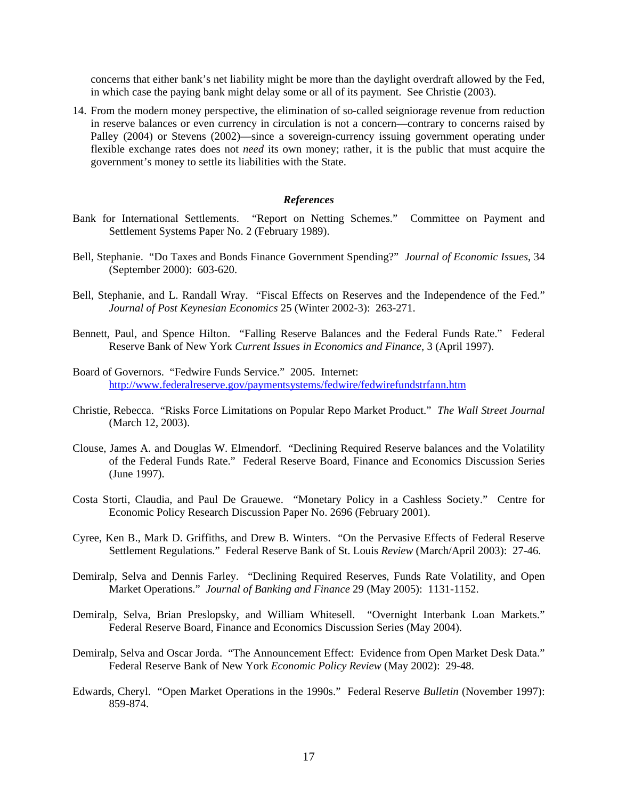concerns that either bank's net liability might be more than the daylight overdraft allowed by the Fed, in which case the paying bank might delay some or all of its payment. See Christie (2003).

14. From the modern money perspective, the elimination of so-called seigniorage revenue from reduction in reserve balances or even currency in circulation is not a concern—contrary to concerns raised by Palley (2004) or Stevens (2002)—since a sovereign-currency issuing government operating under flexible exchange rates does not *need* its own money; rather, it is the public that must acquire the government's money to settle its liabilities with the State.

### *References*

- Bank for International Settlements. "Report on Netting Schemes." Committee on Payment and Settlement Systems Paper No. 2 (February 1989).
- Bell, Stephanie. "Do Taxes and Bonds Finance Government Spending?" *Journal of Economic Issues*, 34 (September 2000): 603-620.
- Bell, Stephanie, and L. Randall Wray. "Fiscal Effects on Reserves and the Independence of the Fed." *Journal of Post Keynesian Economics* 25 (Winter 2002-3): 263-271.
- Bennett, Paul, and Spence Hilton. "Falling Reserve Balances and the Federal Funds Rate." Federal Reserve Bank of New York *Current Issues in Economics and Finance*, 3 (April 1997).
- Board of Governors. "Fedwire Funds Service." 2005. Internet: <http://www.federalreserve.gov/paymentsystems/fedwire/fedwirefundstrfann.htm>
- Christie, Rebecca. "Risks Force Limitations on Popular Repo Market Product." *The Wall Street Journal* (March 12, 2003).
- Clouse, James A. and Douglas W. Elmendorf. "Declining Required Reserve balances and the Volatility of the Federal Funds Rate." Federal Reserve Board, Finance and Economics Discussion Series (June 1997).
- Costa Storti, Claudia, and Paul De Grauewe. "Monetary Policy in a Cashless Society." Centre for Economic Policy Research Discussion Paper No. 2696 (February 2001).
- Cyree, Ken B., Mark D. Griffiths, and Drew B. Winters. "On the Pervasive Effects of Federal Reserve Settlement Regulations." Federal Reserve Bank of St. Louis *Review* (March/April 2003): 27-46.
- Demiralp, Selva and Dennis Farley. "Declining Required Reserves, Funds Rate Volatility, and Open Market Operations." *Journal of Banking and Finance* 29 (May 2005): 1131-1152.
- Demiralp, Selva, Brian Preslopsky, and William Whitesell. "Overnight Interbank Loan Markets." Federal Reserve Board, Finance and Economics Discussion Series (May 2004).
- Demiralp, Selva and Oscar Jorda. "The Announcement Effect: Evidence from Open Market Desk Data." Federal Reserve Bank of New York *Economic Policy Review* (May 2002): 29-48.
- Edwards, Cheryl. "Open Market Operations in the 1990s." Federal Reserve *Bulletin* (November 1997): 859-874.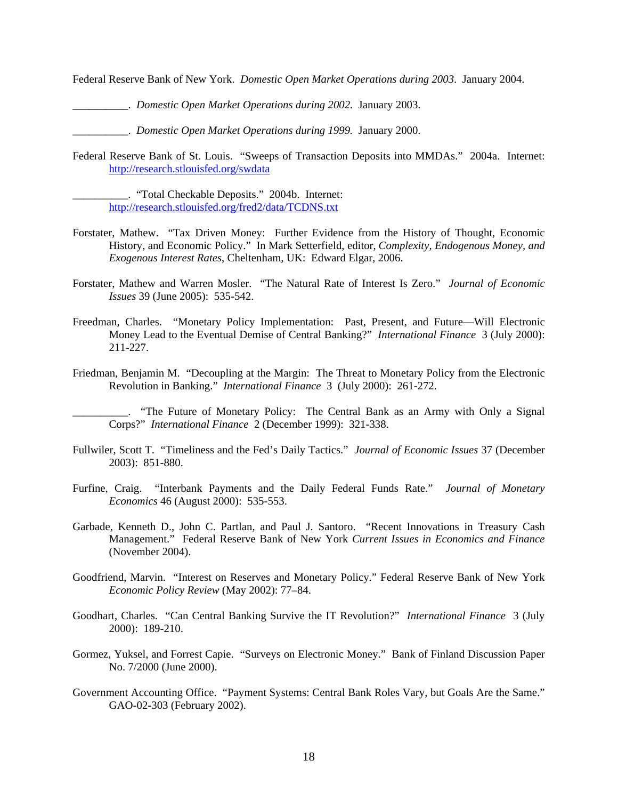Federal Reserve Bank of New York. *Domestic Open Market Operations during 2003*. January 2004.

\_\_\_\_\_\_\_\_\_\_. *Domestic Open Market Operations during 2002.* January 2003.

\_\_\_\_\_\_\_\_\_\_. *Domestic Open Market Operations during 1999.* January 2000.

Federal Reserve Bank of St. Louis. "Sweeps of Transaction Deposits into MMDAs." 2004a. Internet: <http://research.stlouisfed.org/swdata>

\_\_\_\_\_\_\_\_\_\_. "Total Checkable Deposits." 2004b. Internet: <http://research.stlouisfed.org/fred2/data/TCDNS.txt>

- Forstater, Mathew. "Tax Driven Money: Further Evidence from the History of Thought, Economic History, and Economic Policy." In Mark Setterfield, editor, *Complexity, Endogenous Money, and Exogenous Interest Rates*, Cheltenham, UK: Edward Elgar, 2006.
- Forstater, Mathew and Warren Mosler. "The Natural Rate of Interest Is Zero." *Journal of Economic Issues* 39 (June 2005): 535-542.
- Freedman, Charles. "Monetary Policy Implementation: Past, Present, and Future—Will Electronic Money Lead to the Eventual Demise of Central Banking?" *International Finance* 3 (July 2000): 211-227.
- Friedman, Benjamin M. "Decoupling at the Margin: The Threat to Monetary Policy from the Electronic Revolution in Banking." *International Finance* 3 (July 2000): 261-272.

"The Future of Monetary Policy: The Central Bank as an Army with Only a Signal Corps?" *International Finance* 2 (December 1999): 321-338.

- Fullwiler, Scott T. "Timeliness and the Fed's Daily Tactics." *Journal of Economic Issues* 37 (December 2003): 851-880.
- Furfine, Craig. "Interbank Payments and the Daily Federal Funds Rate." *Journal of Monetary Economics* 46 (August 2000): 535-553.
- Garbade, Kenneth D., John C. Partlan, and Paul J. Santoro. "Recent Innovations in Treasury Cash Management." Federal Reserve Bank of New York *Current Issues in Economics and Finance* (November 2004).
- Goodfriend, Marvin. "Interest on Reserves and Monetary Policy." Federal Reserve Bank of New York *Economic Policy Review* (May 2002): 77–84.
- Goodhart, Charles. "Can Central Banking Survive the IT Revolution?" *International Finance* 3 (July 2000): 189-210.
- Gormez, Yuksel, and Forrest Capie. "Surveys on Electronic Money." Bank of Finland Discussion Paper No. 7/2000 (June 2000).
- Government Accounting Office. "Payment Systems: Central Bank Roles Vary, but Goals Are the Same." GAO-02-303 (February 2002).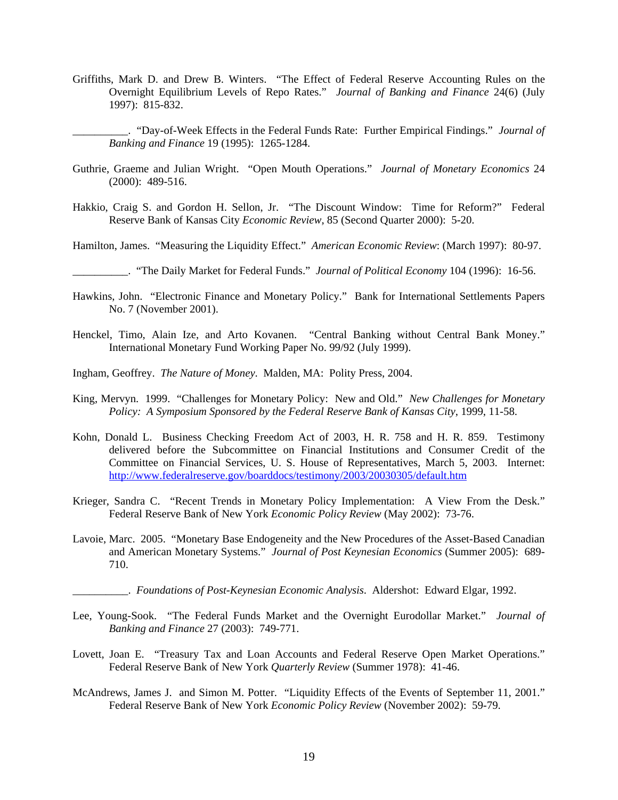Griffiths, Mark D. and Drew B. Winters. "The Effect of Federal Reserve Accounting Rules on the Overnight Equilibrium Levels of Repo Rates." *Journal of Banking and Finance* 24(6) (July 1997): 815-832.

\_\_\_\_\_\_\_\_\_\_. "Day-of-Week Effects in the Federal Funds Rate: Further Empirical Findings." *Journal of Banking and Finance* 19 (1995): 1265-1284.

- Guthrie, Graeme and Julian Wright. "Open Mouth Operations." *Journal of Monetary Economics* 24 (2000): 489-516.
- Hakkio, Craig S. and Gordon H. Sellon, Jr. "The Discount Window: Time for Reform?" Federal Reserve Bank of Kansas City *Economic Review*, 85 (Second Quarter 2000): 5-20.
- Hamilton, James. "Measuring the Liquidity Effect." *American Economic Review*: (March 1997): 80-97.
	- \_\_\_\_\_\_\_\_\_\_. "The Daily Market for Federal Funds." *Journal of Political Economy* 104 (1996): 16-56.
- Hawkins, John. "Electronic Finance and Monetary Policy." Bank for International Settlements Papers No. 7 (November 2001).
- Henckel, Timo, Alain Ize, and Arto Kovanen. "Central Banking without Central Bank Money." International Monetary Fund Working Paper No. 99/92 (July 1999).
- Ingham, Geoffrey. *The Nature of Money*. Malden, MA: Polity Press, 2004.
- King, Mervyn. 1999. "Challenges for Monetary Policy: New and Old." *New Challenges for Monetary Policy: A Symposium Sponsored by the Federal Reserve Bank of Kansas City*, 1999, 11-58.
- Kohn, Donald L. Business Checking Freedom Act of 2003, H. R. 758 and H. R. 859. Testimony delivered before the Subcommittee on Financial Institutions and Consumer Credit of the Committee on Financial Services, U. S. House of Representatives, March 5, 2003. Internet: <http://www.federalreserve.gov/boarddocs/testimony/2003/20030305/default.htm>
- Krieger, Sandra C. "Recent Trends in Monetary Policy Implementation: A View From the Desk." Federal Reserve Bank of New York *Economic Policy Review* (May 2002): 73-76.
- Lavoie, Marc. 2005. "Monetary Base Endogeneity and the New Procedures of the Asset-Based Canadian and American Monetary Systems." *Journal of Post Keynesian Economics* (Summer 2005): 689- 710.
	- \_\_\_\_\_\_\_\_\_\_. *Foundations of Post-Keynesian Economic Analysis*. Aldershot: Edward Elgar, 1992.
- Lee, Young-Sook. "The Federal Funds Market and the Overnight Eurodollar Market." *Journal of Banking and Finance* 27 (2003): 749-771.
- Lovett, Joan E. "Treasury Tax and Loan Accounts and Federal Reserve Open Market Operations." Federal Reserve Bank of New York *Quarterly Review* (Summer 1978): 41-46.
- McAndrews, James J. and Simon M. Potter. "Liquidity Effects of the Events of September 11, 2001." Federal Reserve Bank of New York *Economic Policy Review* (November 2002): 59-79.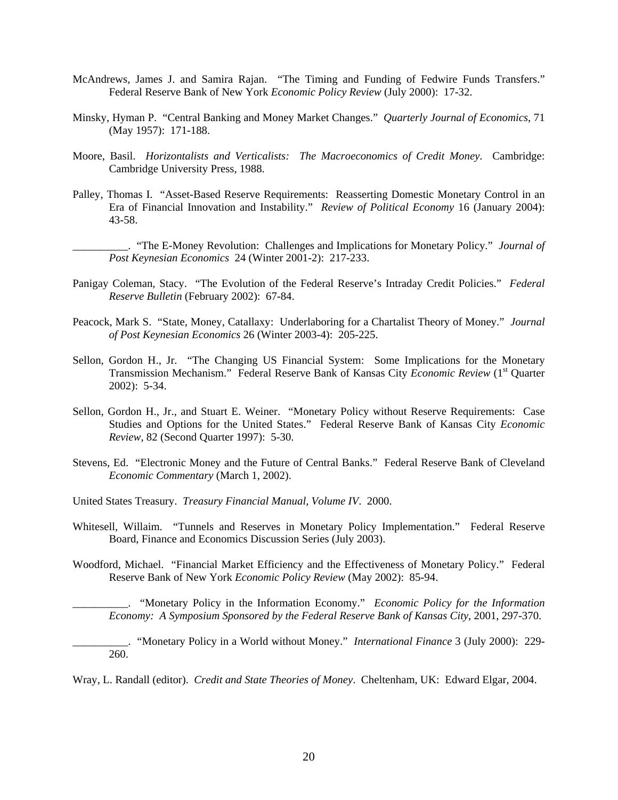- McAndrews, James J. and Samira Rajan. "The Timing and Funding of Fedwire Funds Transfers." Federal Reserve Bank of New York *Economic Policy Review* (July 2000): 17-32.
- Minsky, Hyman P. "Central Banking and Money Market Changes." *Quarterly Journal of Economics*, 71 (May 1957): 171-188.
- Moore, Basil. *Horizontalists and Verticalists: The Macroeconomics of Credit Money*. Cambridge: Cambridge University Press, 1988.
- Palley, Thomas I. "Asset-Based Reserve Requirements: Reasserting Domestic Monetary Control in an Era of Financial Innovation and Instability." *Review of Political Economy* 16 (January 2004): 43-58.
	- \_\_\_\_\_\_\_\_\_\_. "The E-Money Revolution: Challenges and Implications for Monetary Policy." *Journal of Post Keynesian Economics* 24 (Winter 2001-2): 217-233.
- Panigay Coleman, Stacy. "The Evolution of the Federal Reserve's Intraday Credit Policies." *Federal Reserve Bulletin* (February 2002): 67-84.
- Peacock, Mark S. "State, Money, Catallaxy: Underlaboring for a Chartalist Theory of Money." *Journal of Post Keynesian Economics* 26 (Winter 2003-4): 205-225.
- Sellon, Gordon H., Jr. "The Changing US Financial System: Some Implications for the Monetary Transmission Mechanism." Federal Reserve Bank of Kansas City *Economic Review* (1<sup>st</sup> Quarter 2002): 5-34.
- Sellon, Gordon H., Jr., and Stuart E. Weiner. "Monetary Policy without Reserve Requirements: Case Studies and Options for the United States." Federal Reserve Bank of Kansas City *Economic Review*, 82 (Second Quarter 1997): 5-30.
- Stevens, Ed. "Electronic Money and the Future of Central Banks." Federal Reserve Bank of Cleveland *Economic Commentary* (March 1, 2002).
- United States Treasury. *Treasury Financial Manual, Volume IV*. 2000.
- Whitesell, Willaim. "Tunnels and Reserves in Monetary Policy Implementation." Federal Reserve Board, Finance and Economics Discussion Series (July 2003).
- Woodford, Michael. "Financial Market Efficiency and the Effectiveness of Monetary Policy." Federal Reserve Bank of New York *Economic Policy Review* (May 2002): 85-94.

\_\_\_\_\_\_\_\_\_\_. "Monetary Policy in the Information Economy." *Economic Policy for the Information Economy: A Symposium Sponsored by the Federal Reserve Bank of Kansas City*, 2001, 297-370.

\_\_\_\_\_\_\_\_\_\_. "Monetary Policy in a World without Money." *International Finance* 3 (July 2000): 229- 260.

Wray, L. Randall (editor). *Credit and State Theories of Money*. Cheltenham, UK: Edward Elgar, 2004.